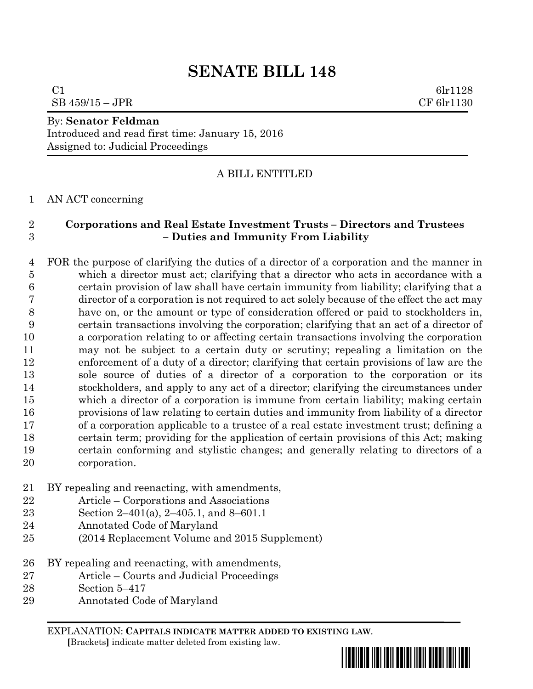# **SENATE BILL 148**

 $C1$  6lr1128  $SB$  459/15 – JPR CF 6lr1130

## By: **Senator Feldman**

Introduced and read first time: January 15, 2016 Assigned to: Judicial Proceedings

## A BILL ENTITLED

AN ACT concerning

## **Corporations and Real Estate Investment Trusts – Directors and Trustees – Duties and Immunity From Liability**

 FOR the purpose of clarifying the duties of a director of a corporation and the manner in which a director must act; clarifying that a director who acts in accordance with a certain provision of law shall have certain immunity from liability; clarifying that a director of a corporation is not required to act solely because of the effect the act may have on, or the amount or type of consideration offered or paid to stockholders in, certain transactions involving the corporation; clarifying that an act of a director of a corporation relating to or affecting certain transactions involving the corporation may not be subject to a certain duty or scrutiny; repealing a limitation on the enforcement of a duty of a director; clarifying that certain provisions of law are the sole source of duties of a director of a corporation to the corporation or its stockholders, and apply to any act of a director; clarifying the circumstances under which a director of a corporation is immune from certain liability; making certain provisions of law relating to certain duties and immunity from liability of a director of a corporation applicable to a trustee of a real estate investment trust; defining a certain term; providing for the application of certain provisions of this Act; making certain conforming and stylistic changes; and generally relating to directors of a corporation.

- BY repealing and reenacting, with amendments,
- Article Corporations and Associations
- Section 2–401(a), 2–405.1, and 8–601.1
- Annotated Code of Maryland
- (2014 Replacement Volume and 2015 Supplement)
- BY repealing and reenacting, with amendments,
- Article Courts and Judicial Proceedings
- Section 5–417
- Annotated Code of Maryland

EXPLANATION: **CAPITALS INDICATE MATTER ADDED TO EXISTING LAW**.  **[**Brackets**]** indicate matter deleted from existing law.

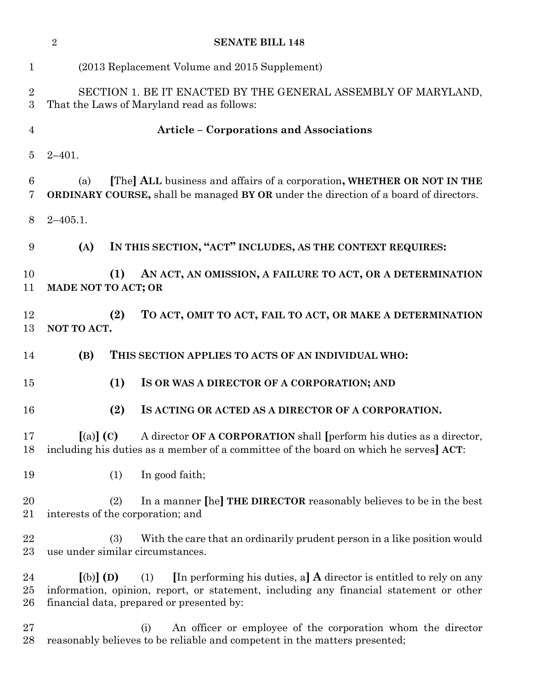|                     | $\overline{2}$<br><b>SENATE BILL 148</b>                                                                                                                                                                                                |
|---------------------|-----------------------------------------------------------------------------------------------------------------------------------------------------------------------------------------------------------------------------------------|
| $\mathbf{1}$        | (2013 Replacement Volume and 2015 Supplement)                                                                                                                                                                                           |
| $\overline{2}$<br>3 | SECTION 1. BE IT ENACTED BY THE GENERAL ASSEMBLY OF MARYLAND,<br>That the Laws of Maryland read as follows:                                                                                                                             |
| $\overline{4}$      | <b>Article - Corporations and Associations</b>                                                                                                                                                                                          |
| 5                   | $2 - 401.$                                                                                                                                                                                                                              |
| 6<br>7              | [The] ALL business and affairs of a corporation, WHETHER OR NOT IN THE<br>(a)<br>ORDINARY COURSE, shall be managed BY OR under the direction of a board of directors.                                                                   |
| 8                   | $2 - 405.1.$                                                                                                                                                                                                                            |
| 9                   | IN THIS SECTION, "ACT" INCLUDES, AS THE CONTEXT REQUIRES:<br>(A)                                                                                                                                                                        |
| 10<br>11            | (1)<br>AN ACT, AN OMISSION, A FAILURE TO ACT, OR A DETERMINATION<br>MADE NOT TO ACT; OR                                                                                                                                                 |
| 12<br>13            | (2)<br>TO ACT, OMIT TO ACT, FAIL TO ACT, OR MAKE A DETERMINATION<br>NOT TO ACT.                                                                                                                                                         |
| 14                  | (B)<br>THIS SECTION APPLIES TO ACTS OF AN INDIVIDUAL WHO:                                                                                                                                                                               |
| 15                  | (1)<br>IS OR WAS A DIRECTOR OF A CORPORATION; AND                                                                                                                                                                                       |
| 16                  | (2)<br>IS ACTING OR ACTED AS A DIRECTOR OF A CORPORATION.                                                                                                                                                                               |
| 17<br>18            | $(a)$ (C)<br>A director OF A CORPORATION shall [perform his duties as a director,<br>including his duties as a member of a committee of the board on which he serves] ACT:                                                              |
| 19                  | In good faith;<br>(1)                                                                                                                                                                                                                   |
| 20<br>21            | In a manner [he] THE DIRECTOR reasonably believes to be in the best<br>(2)<br>interests of the corporation; and                                                                                                                         |
| 22<br>23            | With the care that an ordinarily prudent person in a like position would<br>(3)<br>use under similar circumstances.                                                                                                                     |
| 24<br>$25\,$<br>26  | [In performing his duties, a] $\bf{A}$ director is entitled to rely on any<br>$[(b)]$ (D)<br>(1)<br>information, opinion, report, or statement, including any financial statement or other<br>financial data, prepared or presented by: |
| $27\,$<br>28        | An officer or employee of the corporation whom the director<br>(i)<br>reasonably believes to be reliable and competent in the matters presented;                                                                                        |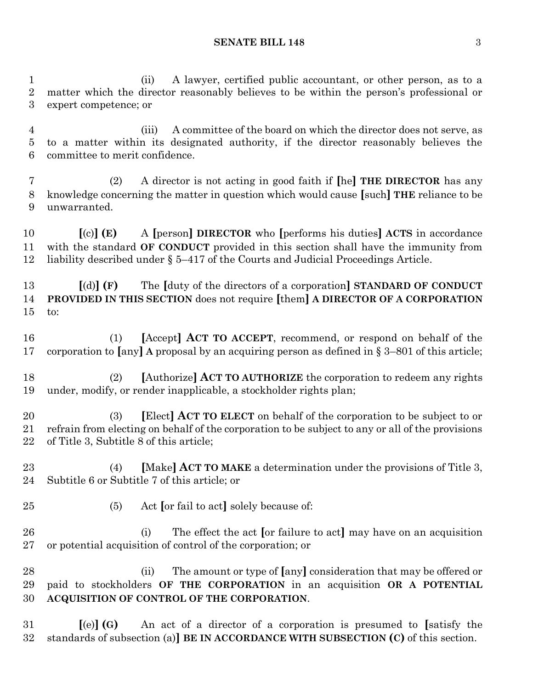#### **SENATE BILL 148** 3

 (ii) A lawyer, certified public accountant, or other person, as to a matter which the director reasonably believes to be within the person's professional or expert competence; or

 (iii) A committee of the board on which the director does not serve, as to a matter within its designated authority, if the director reasonably believes the committee to merit confidence.

 (2) A director is not acting in good faith if **[**he**] THE DIRECTOR** has any knowledge concerning the matter in question which would cause **[**such**] THE** reliance to be unwarranted.

 **[**(c)**] (E)** A **[**person**] DIRECTOR** who **[**performs his duties**] ACTS** in accordance with the standard **OF CONDUCT** provided in this section shall have the immunity from liability described under § 5–417 of the Courts and Judicial Proceedings Article.

 **[**(d)**] (F)** The **[**duty of the directors of a corporation**] STANDARD OF CONDUCT PROVIDED IN THIS SECTION** does not require **[**them**] A DIRECTOR OF A CORPORATION** to:

 (1) **[**Accept**] ACT TO ACCEPT**, recommend, or respond on behalf of the corporation to **[**any**] A** proposal by an acquiring person as defined in § 3–801 of this article;

 (2) **[**Authorize**] ACT TO AUTHORIZE** the corporation to redeem any rights under, modify, or render inapplicable, a stockholder rights plan;

 (3) **[**Elect**] ACT TO ELECT** on behalf of the corporation to be subject to or refrain from electing on behalf of the corporation to be subject to any or all of the provisions of Title 3, Subtitle 8 of this article;

 (4) **[**Make**] ACT TO MAKE** a determination under the provisions of Title 3, Subtitle 6 or Subtitle 7 of this article; or

- (5) Act **[**or fail to act**]** solely because of:
- (i) The effect the act **[**or failure to act**]** may have on an acquisition or potential acquisition of control of the corporation; or

 (ii) The amount or type of **[**any**]** consideration that may be offered or paid to stockholders **OF THE CORPORATION** in an acquisition **OR A POTENTIAL ACQUISITION OF CONTROL OF THE CORPORATION**.

 **[**(e)**] (G)** An act of a director of a corporation is presumed to **[**satisfy the standards of subsection (a)**] BE IN ACCORDANCE WITH SUBSECTION (C)** of this section.